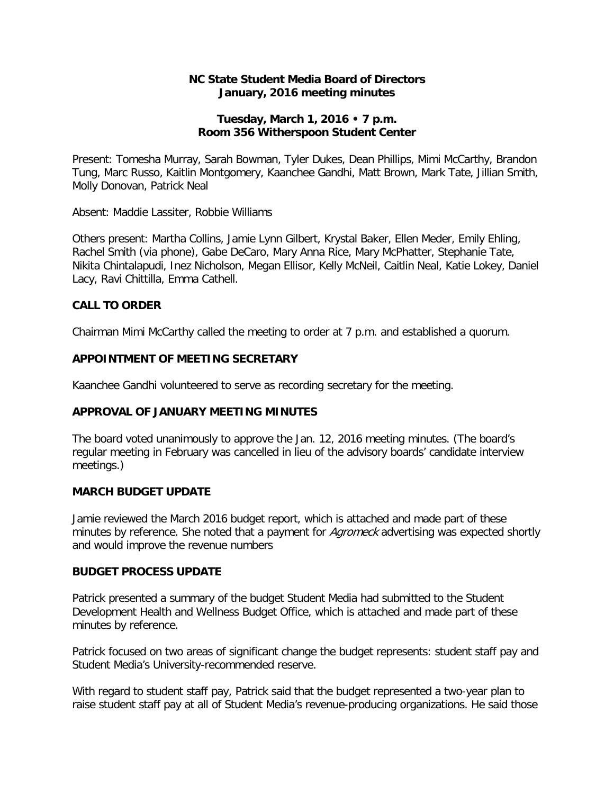#### **NC State Student Media Board of Directors January, 2016 meeting minutes**

#### **Tuesday, March 1, 2016 • 7 p.m. Room 356 Witherspoon Student Center**

Present: Tomesha Murray, Sarah Bowman, Tyler Dukes, Dean Phillips, Mimi McCarthy, Brandon Tung, Marc Russo, Kaitlin Montgomery, Kaanchee Gandhi, Matt Brown, Mark Tate, Jillian Smith, Molly Donovan, Patrick Neal

Absent: Maddie Lassiter, Robbie Williams

Others present: Martha Collins, Jamie Lynn Gilbert, Krystal Baker, Ellen Meder, Emily Ehling, Rachel Smith (via phone), Gabe DeCaro, Mary Anna Rice, Mary McPhatter, Stephanie Tate, Nikita Chintalapudi, Inez Nicholson, Megan Ellisor, Kelly McNeil, Caitlin Neal, Katie Lokey, Daniel Lacy, Ravi Chittilla, Emma Cathell.

# **CALL TO ORDER**

Chairman Mimi McCarthy called the meeting to order at 7 p.m. and established a quorum.

#### **APPOINTMENT OF MEETING SECRETARY**

Kaanchee Gandhi volunteered to serve as recording secretary for the meeting.

# **APPROVAL OF JANUARY MEETING MINUTES**

The board voted unanimously to approve the Jan. 12, 2016 meeting minutes. (The board's regular meeting in February was cancelled in lieu of the advisory boards' candidate interview meetings.)

#### **MARCH BUDGET UPDATE**

Jamie reviewed the March 2016 budget report, which is attached and made part of these minutes by reference. She noted that a payment for *Agromeck* advertising was expected shortly and would improve the revenue numbers

#### **BUDGET PROCESS UPDATE**

Patrick presented a summary of the budget Student Media had submitted to the Student Development Health and Wellness Budget Office, which is attached and made part of these minutes by reference.

Patrick focused on two areas of significant change the budget represents: student staff pay and Student Media's University-recommended reserve.

With regard to student staff pay, Patrick said that the budget represented a two-year plan to raise student staff pay at all of Student Media's revenue-producing organizations. He said those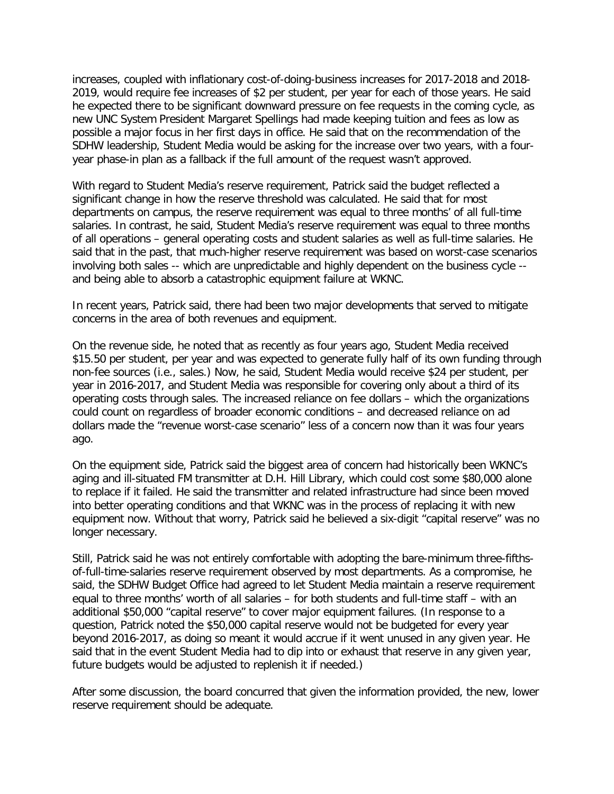increases, coupled with inflationary cost-of-doing-business increases for 2017-2018 and 2018- 2019, would require fee increases of \$2 per student, per year for each of those years. He said he expected there to be significant downward pressure on fee requests in the coming cycle, as new UNC System President Margaret Spellings had made keeping tuition and fees as low as possible a major focus in her first days in office. He said that on the recommendation of the SDHW leadership, Student Media would be asking for the increase over two years, with a fouryear phase-in plan as a fallback if the full amount of the request wasn't approved.

With regard to Student Media's reserve requirement, Patrick said the budget reflected a significant change in how the reserve threshold was calculated. He said that for most departments on campus, the reserve requirement was equal to three months' of all full-time salaries. In contrast, he said, Student Media's reserve requirement was equal to three months of all operations – general operating costs and student salaries as well as full-time salaries. He said that in the past, that much-higher reserve requirement was based on worst-case scenarios involving both sales -- which are unpredictable and highly dependent on the business cycle - and being able to absorb a catastrophic equipment failure at WKNC.

In recent years, Patrick said, there had been two major developments that served to mitigate concerns in the area of both revenues and equipment.

On the revenue side, he noted that as recently as four years ago, Student Media received \$15.50 per student, per year and was expected to generate fully half of its own funding through non-fee sources (i.e., sales.) Now, he said, Student Media would receive \$24 per student, per year in 2016-2017, and Student Media was responsible for covering only about a third of its operating costs through sales. The increased reliance on fee dollars – which the organizations could count on regardless of broader economic conditions – and decreased reliance on ad dollars made the "revenue worst-case scenario" less of a concern now than it was four years ago.

On the equipment side, Patrick said the biggest area of concern had historically been WKNC's aging and ill-situated FM transmitter at D.H. Hill Library, which could cost some \$80,000 alone to replace if it failed. He said the transmitter and related infrastructure had since been moved into better operating conditions and that WKNC was in the process of replacing it with new equipment now. Without that worry, Patrick said he believed a six-digit "capital reserve" was no longer necessary.

Still, Patrick said he was not entirely comfortable with adopting the bare-minimum three-fifthsof-full-time-salaries reserve requirement observed by most departments. As a compromise, he said, the SDHW Budget Office had agreed to let Student Media maintain a reserve requirement equal to three months' worth of all salaries – for both students and full-time staff – with an additional \$50,000 "capital reserve" to cover major equipment failures. (In response to a question, Patrick noted the \$50,000 capital reserve would not be budgeted for every year beyond 2016-2017, as doing so meant it would accrue if it went unused in any given year. He said that in the event Student Media had to dip into or exhaust that reserve in any given year, future budgets would be adjusted to replenish it if needed.)

After some discussion, the board concurred that given the information provided, the new, lower reserve requirement should be adequate.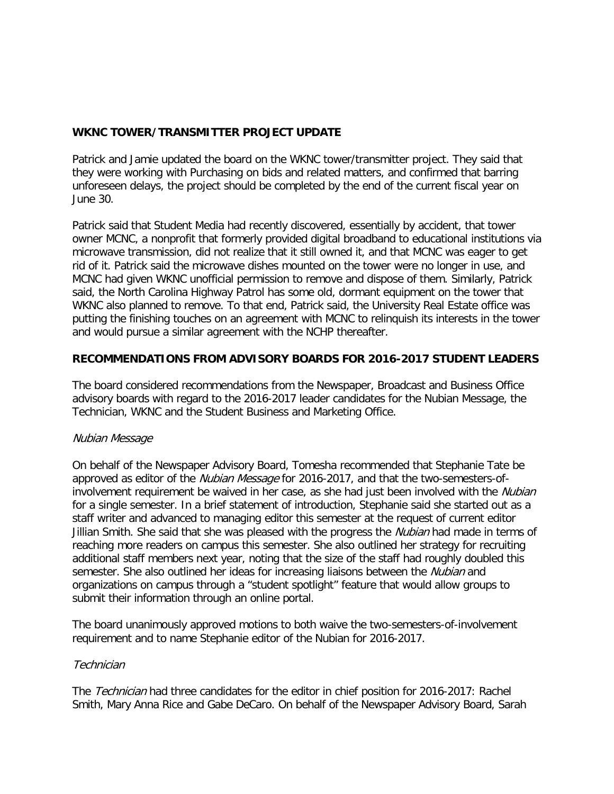# **WKNC TOWER/TRANSMITTER PROJECT UPDATE**

Patrick and Jamie updated the board on the WKNC tower/transmitter project. They said that they were working with Purchasing on bids and related matters, and confirmed that barring unforeseen delays, the project should be completed by the end of the current fiscal year on June 30.

Patrick said that Student Media had recently discovered, essentially by accident, that tower owner MCNC, a nonprofit that formerly provided digital broadband to educational institutions via microwave transmission, did not realize that it still owned it, and that MCNC was eager to get rid of it. Patrick said the microwave dishes mounted on the tower were no longer in use, and MCNC had given WKNC unofficial permission to remove and dispose of them. Similarly, Patrick said, the North Carolina Highway Patrol has some old, dormant equipment on the tower that WKNC also planned to remove. To that end, Patrick said, the University Real Estate office was putting the finishing touches on an agreement with MCNC to relinquish its interests in the tower and would pursue a similar agreement with the NCHP thereafter.

# **RECOMMENDATIONS FROM ADVISORY BOARDS FOR 2016-2017 STUDENT LEADERS**

The board considered recommendations from the Newspaper, Broadcast and Business Office advisory boards with regard to the 2016-2017 leader candidates for the Nubian Message, the Technician, WKNC and the Student Business and Marketing Office.

# Nubian Message

On behalf of the Newspaper Advisory Board, Tomesha recommended that Stephanie Tate be approved as editor of the Nubian Message for 2016-2017, and that the two-semesters-ofinvolvement requirement be waived in her case, as she had just been involved with the Nubian for a single semester. In a brief statement of introduction, Stephanie said she started out as a staff writer and advanced to managing editor this semester at the request of current editor Jillian Smith. She said that she was pleased with the progress the *Nubian* had made in terms of reaching more readers on campus this semester. She also outlined her strategy for recruiting additional staff members next year, noting that the size of the staff had roughly doubled this semester. She also outlined her ideas for increasing liaisons between the Nubian and organizations on campus through a "student spotlight" feature that would allow groups to submit their information through an online portal.

The board unanimously approved motions to both waive the two-semesters-of-involvement requirement and to name Stephanie editor of the Nubian for 2016-2017.

# **Technician**

The Technician had three candidates for the editor in chief position for 2016-2017: Rachel Smith, Mary Anna Rice and Gabe DeCaro. On behalf of the Newspaper Advisory Board, Sarah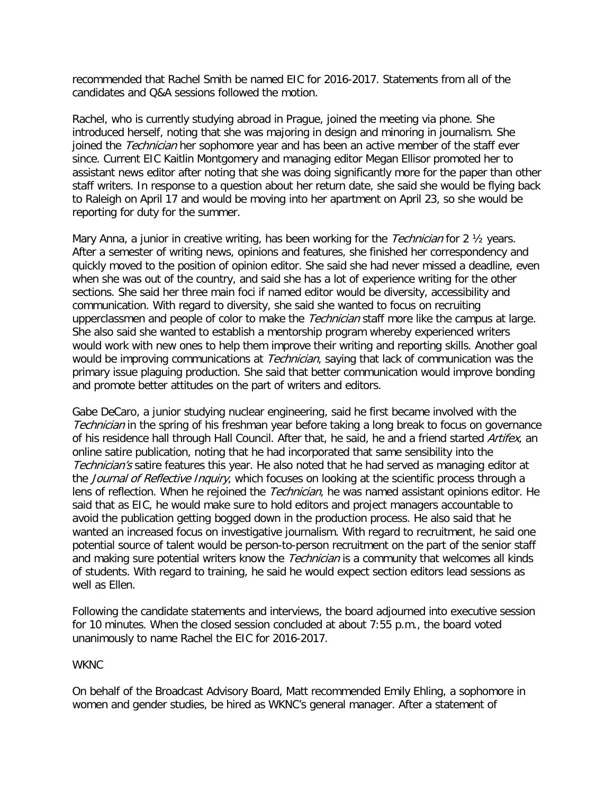recommended that Rachel Smith be named EIC for 2016-2017. Statements from all of the candidates and Q&A sessions followed the motion.

Rachel, who is currently studying abroad in Prague, joined the meeting via phone. She introduced herself, noting that she was majoring in design and minoring in journalism. She joined the Technician her sophomore year and has been an active member of the staff ever since. Current EIC Kaitlin Montgomery and managing editor Megan Ellisor promoted her to assistant news editor after noting that she was doing significantly more for the paper than other staff writers. In response to a question about her return date, she said she would be flying back to Raleigh on April 17 and would be moving into her apartment on April 23, so she would be reporting for duty for the summer.

Mary Anna, a junior in creative writing, has been working for the *Technician* for 2  $\frac{1}{2}$  years. After a semester of writing news, opinions and features, she finished her correspondency and quickly moved to the position of opinion editor. She said she had never missed a deadline, even when she was out of the country, and said she has a lot of experience writing for the other sections. She said her three main foci if named editor would be diversity, accessibility and communication. With regard to diversity, she said she wanted to focus on recruiting upperclassmen and people of color to make the *Technician* staff more like the campus at large. She also said she wanted to establish a mentorship program whereby experienced writers would work with new ones to help them improve their writing and reporting skills. Another goal would be improving communications at *Technician*, saying that lack of communication was the primary issue plaguing production. She said that better communication would improve bonding and promote better attitudes on the part of writers and editors.

Gabe DeCaro, a junior studying nuclear engineering, said he first became involved with the Technician in the spring of his freshman year before taking a long break to focus on governance of his residence hall through Hall Council. After that, he said, he and a friend started Artifex, an online satire publication, noting that he had incorporated that same sensibility into the Technician's satire features this year. He also noted that he had served as managing editor at the *Journal of Reflective Inquiry*, which focuses on looking at the scientific process through a lens of reflection. When he rejoined the *Technician*, he was named assistant opinions editor. He said that as EIC, he would make sure to hold editors and project managers accountable to avoid the publication getting bogged down in the production process. He also said that he wanted an increased focus on investigative journalism. With regard to recruitment, he said one potential source of talent would be person-to-person recruitment on the part of the senior staff and making sure potential writers know the *Technician* is a community that welcomes all kinds of students. With regard to training, he said he would expect section editors lead sessions as well as Ellen.

Following the candidate statements and interviews, the board adjourned into executive session for 10 minutes. When the closed session concluded at about 7:55 p.m., the board voted unanimously to name Rachel the EIC for 2016-2017.

#### WKNC

On behalf of the Broadcast Advisory Board, Matt recommended Emily Ehling, a sophomore in women and gender studies, be hired as WKNC's general manager. After a statement of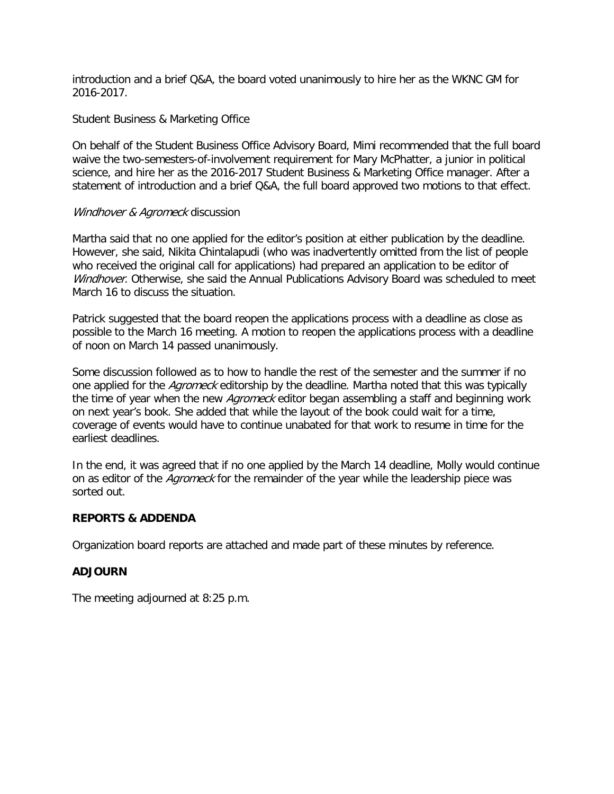introduction and a brief Q&A, the board voted unanimously to hire her as the WKNC GM for 2016-2017.

# Student Business & Marketing Office

On behalf of the Student Business Office Advisory Board, Mimi recommended that the full board waive the two-semesters-of-involvement requirement for Mary McPhatter, a junior in political science, and hire her as the 2016-2017 Student Business & Marketing Office manager. After a statement of introduction and a brief Q&A, the full board approved two motions to that effect.

#### Windhover & Agromeck discussion

Martha said that no one applied for the editor's position at either publication by the deadline. However, she said, Nikita Chintalapudi (who was inadvertently omitted from the list of people who received the original call for applications) had prepared an application to be editor of Windhover. Otherwise, she said the Annual Publications Advisory Board was scheduled to meet March 16 to discuss the situation.

Patrick suggested that the board reopen the applications process with a deadline as close as possible to the March 16 meeting. A motion to reopen the applications process with a deadline of noon on March 14 passed unanimously.

Some discussion followed as to how to handle the rest of the semester and the summer if no one applied for the *Agromeck* editorship by the deadline. Martha noted that this was typically the time of year when the new *Agromeck* editor began assembling a staff and beginning work on next year's book. She added that while the layout of the book could wait for a time, coverage of events would have to continue unabated for that work to resume in time for the earliest deadlines.

In the end, it was agreed that if no one applied by the March 14 deadline, Molly would continue on as editor of the *Agromeck* for the remainder of the year while the leadership piece was sorted out.

# **REPORTS & ADDENDA**

Organization board reports are attached and made part of these minutes by reference.

# **ADJOURN**

The meeting adjourned at 8:25 p.m.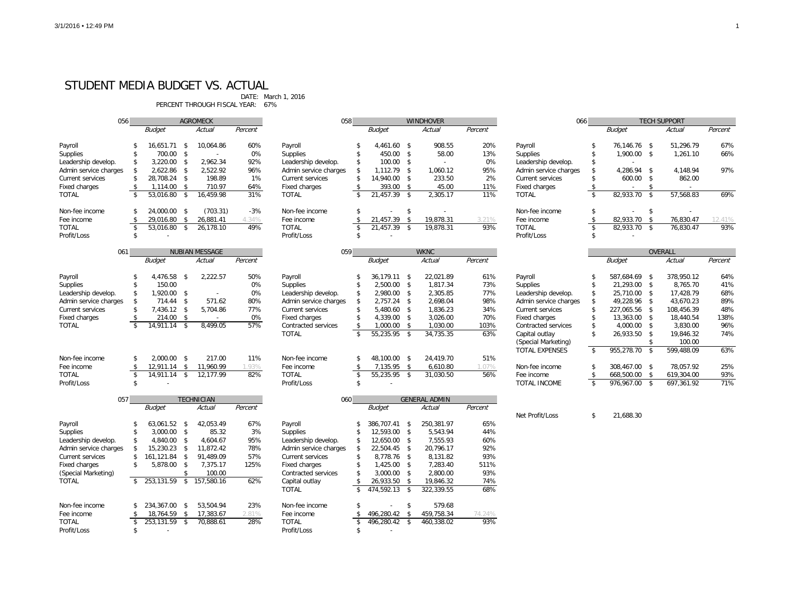67% PERCENT THROUGH FISCAL YEAR:

| 056                   |               | <b>AGROMECK</b>                                         |            |           |                    | 058<br><b>WINDHOVER</b> |                |                                |            |            |         | 066                   |                          | <b>TECH SUPPORT</b> |      |            |         |
|-----------------------|---------------|---------------------------------------------------------|------------|-----------|--------------------|-------------------------|----------------|--------------------------------|------------|------------|---------|-----------------------|--------------------------|---------------------|------|------------|---------|
|                       |               | <b>Budget</b>                                           |            | Actual    | Percent            |                         |                | <b>Budget</b>                  |            | Actual     | Percent |                       |                          | <b>Budget</b>       |      | Actual     | Percent |
| Payroll               |               | 16,651.71                                               | - \$       | 10,064.86 | 60%                | Payroll                 |                | 4,461.60 \$                    |            | 908.55     | 20%     | Payroll               |                          | 76,146.76 \$        |      | 51,296.79  | 67%     |
| Supplies              | -\$           | 700.00                                                  | - \$       |           | 0%                 | Supplies                |                | 450.00 \$                      |            | 58.00      | 13%     | Supplies              |                          | 1,900.00 \$         |      | 1,261.10   | 66%     |
| Leadership develop.   |               | 3,220.00                                                | -\$        | 2,962.34  | 92%                | Leadership develop.     |                | 100.00 \$                      |            |            | 0%      | Leadership develop.   |                          |                     |      |            |         |
| Admin service charges |               | 2,622.86                                                | - \$       | 2,522.92  | 96%                | Admin service charges   |                | 1,112.79 \$                    |            | 1,060.12   | 95%     | Admin service charges |                          | 4,286.94 \$         |      | 4,148.94   | 97%     |
| Current services      |               | 28,708.24 \$                                            |            | 198.89    | 1%                 | Current services        |                | 14,940.00 \$                   |            | 233.50     | 2%      | Current services      |                          | 600.00 \$           |      | 862.00     |         |
| Fixed charges         | \$            | 1,114.00                                                | - \$       | 710.97    | 64%                | Fixed charges           |                | 393.00 \$                      |            | 45.00      | 11%     | Fixed charges         |                          |                     | -\$  |            |         |
| <b>TOTAL</b>          | \$            | 53,016.80                                               | - \$       | 16,459.98 | 31%                | <b>TOTAL</b>            | $\mathfrak{L}$ | 21,457.39 \$                   |            | 2,305.17   | 11%     | <b>TOTAL</b>          | $\overline{\mathcal{S}}$ | 82,933.70 \$        |      | 57,568.83  | 69%     |
| Non-fee income        |               | 24,000.00 \$                                            |            | (703.31)  | $-3%$              | Non-fee income          |                |                                | \$         |            |         | Non-fee income        | \$                       |                     | \$   |            |         |
| Fee income            | \$            | 29,016.80                                               | -\$        | 26,881.41 | 4.34%              | Fee income              |                | 21,457.39                      | -\$        | 19,878.31  | 3.21%   | Fee income            | \$                       | 82,933.70 \$        |      | 76,830.47  | 12.41%  |
| <b>TOTAL</b>          | $\sqrt[6]{2}$ | 53,016.80                                               | -\$        | 26,178.10 | 49%                | <b>TOTAL</b>            |                | 21,457.39 \$                   |            | 19,878.31  | 93%     | <b>TOTAL</b>          | $\sqrt[6]{\frac{1}{2}}$  | 82,933.70 \$        |      | 76,830.47  | 93%     |
| Profit/Loss           | \$            |                                                         |            |           |                    | Profit/Loss             | \$.            |                                |            |            |         | Profit/Loss           | \$.                      |                     |      |            |         |
| 061                   |               | <b>NUBIAN MESSAGE</b>                                   |            |           | 059<br><b>WKNC</b> |                         |                |                                |            |            |         |                       |                          | OVERALL             |      |            |         |
|                       |               | <b>Budget</b>                                           |            | Actual    | Percent            |                         |                | <b>Budget</b>                  |            | Actual     | Percent |                       |                          | <b>Budget</b>       |      | Actual     | Percent |
| Payroll               |               | 4,476.58                                                | $\sqrt{3}$ | 2,222.57  | 50%                | Payroll                 |                | 36,179.11 \$                   |            | 22,021.89  | 61%     | Payroll               |                          | 587,684.69          | - \$ | 378,950.12 | 64%     |
| Supplies              | \$            | 150.00                                                  |            |           | 0%                 | Supplies                | \$             | 2,500.00 \$                    |            | 1,817.34   | 73%     | Supplies              |                          | 21,293.00 \$        |      | 8,765.70   | 41%     |
| Leadership develop.   | -\$           | 1,920.00                                                | $\sqrt{3}$ |           | 0%                 | Leadership develop.     | \$             | 2,980.00 \$                    |            | 2,305.85   | 77%     | Leadership develop.   |                          | 25,710.00 \$        |      | 17,428.79  | 68%     |
| Admin service charges |               | $714.44$ \$                                             |            | 571.62    | 80%                | Admin service charges   | \$             | $2,757.24$ \$                  |            | 2,698.04   | 98%     | Admin service charges |                          | 49,228.96 \$        |      | 43,670.23  | 89%     |
| Current services      |               | 7,436.12 \$                                             |            | 5,704.86  | 77%                | Current services        |                | 5,480.60 \$                    |            | 1,836.23   | 34%     | Current services      |                          | 227,065.56 \$       |      | 108,456.39 | 48%     |
| Fixed charges         | \$            | 214.00 \$                                               |            |           | 0%                 | Fixed charges           | \$.            | 4,339.00 \$                    |            | 3,026.00   | 70%     | Fixed charges         |                          | 13,363.00 \$        |      | 18,440.54  | 138%    |
| <b>TOTAL</b>          | \$            | 14,911.14 \$                                            |            | 8,499.05  | 57%                | Contracted services     | \$             | ,000.00                        | $^{\circ}$ | 1,030.00   | 103%    | Contracted services   |                          | 4,000.00 \$         |      | 3,830.00   | 96%     |
|                       |               |                                                         |            |           |                    | <b>TOTAL</b>            | \$             | 55,235.95 \$                   |            | 34,735.35  | 63%     | Capital outlay        | \$                       | 26,933.50 \$        |      | 19,846.32  | 74%     |
|                       |               |                                                         |            |           |                    |                         |                |                                |            |            |         | (Special Marketing)   |                          |                     | -\$  | 100.00     |         |
| Non-fee income        |               | 2,000.00                                                | - \$       | 217.00    | 11%                | Non-fee income          |                | 48,100.00 \$                   |            | 24,419.70  | 51%     | <b>TOTAL EXPENSES</b> | \$                       | 955,278.70 \$       |      | 599,488.09 | 63%     |
| Fee income            | \$            | $12,911.14$ \$                                          |            | 11,960.99 | 1.93%              | Fee income              | \$             | 7,135.95 \$                    |            | 6,610.80   | 1.07%   | Non-fee income        | \$                       | 308,467.00 \$       |      | 78,057.92  | 25%     |
| <b>TOTAL</b>          | \$            | $14,911.14$ \$                                          |            | 12,177.99 | 82%                | <b>TOTAL</b>            | \$             | 55,235.95 \$                   |            | 31,030.50  | 56%     | Fee income            | \$                       | 668,500.00 \$       |      | 619,304.00 | 93%     |
| Profit/Loss           | \$            |                                                         |            |           |                    | Profit/Loss             | \$             |                                |            |            |         | TOTAL INCOME          | \$                       | 976,967.00 \$       |      | 697,361.92 | 71%     |
|                       |               |                                                         |            |           |                    |                         |                |                                |            |            |         |                       |                          |                     |      |            |         |
| 057                   |               | <b>TECHNICIAN</b><br><b>Budget</b><br>Actual<br>Percent |            |           |                    | 060<br><b>Budget</b>    |                | <b>GENERAL ADMIN</b><br>Actual |            |            | Percent |                       |                          |                     |      |            |         |
|                       |               |                                                         |            |           |                    |                         |                |                                |            |            |         | Net Profit/Loss       | \$                       | 21,688.30           |      |            |         |
| Payroll               |               | 63,061.52 \$                                            |            | 42,053.49 | 67%                | Payroll                 |                | 386,707.41 \$                  |            | 250,381.97 | 65%     |                       |                          |                     |      |            |         |
| Supplies              | -\$           | $3,000.00$ \$                                           |            | 85.32     | 3%                 | Supplies                |                | 12,593.00 \$                   |            | 5,543.94   | 44%     |                       |                          |                     |      |            |         |
| Leadership develop.   |               | 4,840.00                                                | - \$       | 4,604.67  | 95%                | Leadership develop.     |                | 12,650.00 \$                   |            | 7,555.93   | 60%     |                       |                          |                     |      |            |         |
| Admin service charges |               | 15,230.23                                               | - \$       | 11,872.42 | 78%                | Admin service charges   |                | 22,504.45 \$                   |            | 20,796.17  | 92%     |                       |                          |                     |      |            |         |
| Current services      | \$            | 161,121.84 \$                                           |            | 91,489.09 | 57%                | Current services        |                | 8,778.76 \$                    |            | 8,131.82   | 93%     |                       |                          |                     |      |            |         |
| Fixed charges         | \$            | 5,878.00 \$                                             |            | 7,375.17  | 125%               | Fixed charges           |                | $1,425.00$ \$                  |            | 7,283.40   | 511%    |                       |                          |                     |      |            |         |
| (Special Marketing)   |               |                                                         | \$         | 100.00    |                    | Contracted services     |                | $3,000.00$ \$                  |            | 2,800.00   | 93%     |                       |                          |                     |      |            |         |
| <b>TOTAL</b>          |               | \$ 253,131.59 \$ 157,580.16                             |            |           | 62%                | Capital outlay          |                | 26,933.50 \$                   |            | 19,846.32  | 74%     |                       |                          |                     |      |            |         |
|                       |               |                                                         |            |           |                    | <b>TOTAL</b>            |                | 474,592.13 \$                  |            | 322,339.55 | 68%     |                       |                          |                     |      |            |         |
| Non-fee income        |               | 234,367.00 \$                                           |            | 53,504.94 | 23%                | Non-fee income          |                |                                | \$         | 579.68     |         |                       |                          |                     |      |            |         |
| Fee income            | -\$           | 18,764.59 \$                                            |            | 17,383.67 | 2.81%              | Fee income              |                | 496,280.42                     | -\$        | 459,758.34 | 74.24%  |                       |                          |                     |      |            |         |
| <b>TOTAL</b>          | \$            | 253,131.59 \$                                           |            | 70,888.61 | 28%                | <b>TOTAL</b>            |                | 496,280.42 \$                  |            | 460,338.02 | 93%     |                       |                          |                     |      |            |         |
| Profit/Loss           | \$            |                                                         |            |           |                    | Profit/Loss             | \$             |                                |            |            |         |                       |                          |                     |      |            |         |

| 066                               |          | <b>TECH SUPPORT</b> |                 |                |            |  |  |  |  |
|-----------------------------------|----------|---------------------|-----------------|----------------|------------|--|--|--|--|
|                                   |          | <b>Budget</b>       |                 | Actual         | Percent    |  |  |  |  |
|                                   |          |                     |                 |                | 67%        |  |  |  |  |
| Payroll                           | \$<br>\$ | 76,146.76           | \$<br>\$        | 51,296.79      |            |  |  |  |  |
| <b>Supplies</b>                   |          | 1,900.00            |                 | 1,261.10       | 66%        |  |  |  |  |
| Leadership develop.               | \$       |                     |                 |                |            |  |  |  |  |
| Admin service charges             | \$       | 4,286.94            | \$              | 4,148.94       | 97%        |  |  |  |  |
| <b>Current services</b>           | \$       | 600.00              | \$              | 862.00         |            |  |  |  |  |
| <b>Fixed charges</b>              | \$       |                     | \$              |                |            |  |  |  |  |
| <b>TOTAL</b>                      | \$       | 82,933.70           | \$              | 57,568.83      | 69%        |  |  |  |  |
| Non-fee income                    | \$       |                     | \$              |                |            |  |  |  |  |
| Fee income                        | \$       | 82,933.70           | \$              | 76,830.47      | 12.41%     |  |  |  |  |
| <b>TOTAL</b>                      | \$       | 82,933.70           | \$              | 76,830.47      | 93%        |  |  |  |  |
| Profit/Loss                       | \$       |                     |                 |                |            |  |  |  |  |
|                                   |          |                     |                 |                |            |  |  |  |  |
|                                   |          |                     |                 | <b>OVERALL</b> |            |  |  |  |  |
|                                   |          | <b>Budget</b>       |                 | Actual         | Percent    |  |  |  |  |
| Payroll                           | \$       | 587,684.69          | \$              | 378,950.12     | 64%        |  |  |  |  |
| <b>Supplies</b>                   | \$       | 21,293.00           | \$              | 8,765.70       | 41%        |  |  |  |  |
| Leadership develop.               | \$       | 25,710.00           | \$              | 17,428.79      | 68%        |  |  |  |  |
| Admin service charges             | \$       | 49,228.96           | \$              | 43,670.23      | 89%        |  |  |  |  |
| <b>Current services</b>           | \$       | 227,065.56          | \$              | 108,456.39     | 48%        |  |  |  |  |
| <b>Fixed charges</b>              | \$       | 13,363.00           | \$              | 18,440.54      | 138%       |  |  |  |  |
| Contracted services               | \$       | 4,000.00            | \$              | 3,830.00       | 96%        |  |  |  |  |
| Capital outlay                    | \$       | 26,933.50           | \$              | 19,846.32      | 74%        |  |  |  |  |
| (Special Marketing)               |          |                     | \$              | 100.00         |            |  |  |  |  |
| <b>TOTAL EXPENSES</b>             | \$       | 955,278.70          | $\overline{\$}$ | 599,488.09     | 63%        |  |  |  |  |
|                                   |          |                     |                 |                | 25%        |  |  |  |  |
| Non-fee income                    | \$<br>\$ | 308,467.00          | \$              | 78,057.92      |            |  |  |  |  |
| Fee income<br><b>TOTAL INCOME</b> | \$       | 668,500.00          | \$<br>\$        | 619,304.00     | 93%<br>71% |  |  |  |  |
|                                   |          | 976,967.00          |                 | 697,361.92     |            |  |  |  |  |

# STUDENT MEDIA BUDGET VS. ACTUAL

DATE: March 1, 2016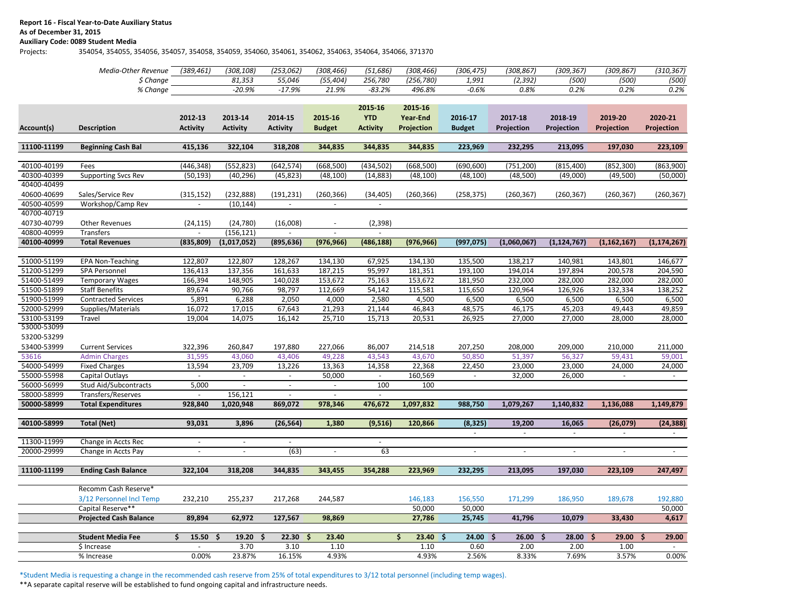#### **Report 16 - Fiscal Year-to-Date Auxiliary Status**

# **As of December 31, 2015**

# **Auxiliary Code: 0089 Student Media**

Projects: 354054, 354055, 354056, 354057, 354058, 354059, 354060, 354061, 354062, 354063, 354064, 354066, 371370

|             | Media-Other Revenue           | (389, 461)               | (308, 108)               | (253, 062)               | (308, 466)               | (51, 686)                | (308, 466)         | (306, 475)               | (308, 867)               | (309, 367)               | (309, 867)               | (310, 367)        |  |
|-------------|-------------------------------|--------------------------|--------------------------|--------------------------|--------------------------|--------------------------|--------------------|--------------------------|--------------------------|--------------------------|--------------------------|-------------------|--|
|             | \$ Change                     |                          | 81,353                   | 55,046                   | (55, 404)                | 256,780                  | (256, 780)         | 1,991                    | (2, 392)                 | (500)                    | (500)                    | (500)             |  |
|             | % Change                      |                          | $-20.9%$                 | $-17.9%$                 | 21.9%                    | $-83.2%$                 | 496.8%             | $-0.6%$                  | 0.8%                     | 0.2%                     | 0.2%                     | 0.2%              |  |
|             |                               |                          |                          |                          |                          |                          |                    |                          |                          |                          |                          |                   |  |
|             |                               |                          |                          |                          |                          | 2015-16                  | 2015-16            |                          |                          |                          |                          |                   |  |
|             |                               | 2012-13                  | 2013-14                  | 2014-15                  | 2015-16                  | <b>YTD</b>               | <b>Year-End</b>    | 2016-17                  | 2017-18                  | 2018-19                  | 2019-20                  | 2020-21           |  |
| Account(s)  | <b>Description</b>            | <b>Activity</b>          | <b>Activity</b>          | <b>Activity</b>          | <b>Budget</b>            | <b>Activity</b>          | Projection         | <b>Budget</b>            | Projection               | Projection               | Projection               | <b>Projection</b> |  |
|             |                               |                          |                          |                          |                          |                          |                    |                          |                          |                          |                          |                   |  |
| 11100-11199 | <b>Beginning Cash Bal</b>     | 415,136                  | 322,104                  | 318,208                  | 344,835                  | 344,835                  | 344,835            | 223,969                  | 232,295                  | 213,095                  | 197,030                  | 223,109           |  |
|             |                               |                          |                          |                          |                          |                          |                    |                          |                          |                          |                          |                   |  |
| 40100-40199 | Fees                          | (446, 348)               | (552, 823)               | (642, 574)               | (668, 500)               | (434, 502)               | (668, 500)         | (690, 600)               | (751, 200)               | (815, 400)               | (852, 300)               | (863,900)         |  |
| 40300-40399 | <b>Supporting Svcs Rev</b>    | (50, 193)                | (40, 296)                | (45, 823)                | (48, 100)                | (14, 883)                | (48, 100)          | (48, 100)                | (48,500)                 | (49,000)                 | (49,500)                 | (50,000)          |  |
| 40400-40499 |                               |                          |                          |                          |                          |                          |                    |                          |                          |                          |                          |                   |  |
| 40600-40699 | Sales/Service Rev             | (315, 152)               | (232, 888)               | (191, 231)               | (260, 366)               | (34, 405)                | (260, 366)         | (258, 375)               | (260, 367)               | (260, 367)               | (260, 367)               | (260, 367)        |  |
| 40500-40599 | Workshop/Camp Rev             | $\blacksquare$           | (10, 144)                | $\sim$                   | $\overline{\phantom{a}}$ |                          |                    |                          |                          |                          |                          |                   |  |
| 40700-40719 |                               |                          |                          |                          |                          |                          |                    |                          |                          |                          |                          |                   |  |
| 40730-40799 | <b>Other Revenues</b>         | (24, 115)                | (24, 780)                | (16,008)                 | $\overline{\phantom{a}}$ | (2, 398)                 |                    |                          |                          |                          |                          |                   |  |
| 40800-40999 | Transfers                     |                          |                          | (156, 121)               |                          |                          |                    |                          |                          |                          |                          |                   |  |
| 40100-40999 | <b>Total Revenues</b>         | (835, 809)               | (1,017,052)              | (895, 636)               | (976, 966)               | (486, 188)               | (976, 966)         | (997, 075)               | (1,060,067)              | (1, 124, 767)            | (1, 162, 167)            | (1, 174, 267)     |  |
|             |                               |                          |                          |                          |                          |                          |                    |                          |                          |                          |                          |                   |  |
| 51000-51199 | <b>EPA Non-Teaching</b>       | 122,807                  | 122,807                  | 128,267                  | 134,130                  | 67,925                   | 134,130            | 135,500                  | 138,217                  | 140,981                  | 143,801                  | 146,677           |  |
| 51200-51299 | <b>SPA Personnel</b>          | 136,413                  | 137,356                  | 161,633                  | 187,215                  | 95,997                   | 181,351            | 193,100                  | 194,014                  | 197,894                  | 200,578                  | 204,590           |  |
| 51400-51499 | <b>Temporary Wages</b>        | 166,394                  | 148,905                  | 140,028                  | 153,672                  | 75,163                   | 153,672            | 181,950                  | 232,000                  | 282,000                  | 282,000                  | 282,000           |  |
| 51500-51899 | <b>Staff Benefits</b>         | 89,674                   | 90,766                   | 98,797                   | 112,669                  | 54,142                   | 115,581            | 115,650                  | 120,964                  | 126,926                  | 132,334                  | 138,252           |  |
| 51900-51999 | <b>Contracted Services</b>    | 5,891                    | 6,288                    | 2,050                    | 4,000                    | 2,580                    | 4,500              | 6,500                    | 6,500                    | 6,500                    | 6,500                    | 6,500             |  |
| 52000-52999 | Supplies/Materials            | 16,072                   | 17,015                   | 67,643                   | 21,293                   | 21,144                   | 46,843             | 48,575                   | 46,175                   | 45,203                   | 49,443                   | 49,859            |  |
| 53100-53199 | Travel                        | 19,004                   | 14,075                   | 16,142                   | 25,710                   | 15,713                   | 20,531             | 26,925                   | 27,000                   | 27,000                   | 28,000                   | 28,000            |  |
| 53000-53099 |                               |                          |                          |                          |                          |                          |                    |                          |                          |                          |                          |                   |  |
| 53200-53299 |                               |                          |                          |                          |                          |                          |                    |                          |                          |                          |                          |                   |  |
| 53400-53999 | <b>Current Services</b>       | 322,396                  | 260,847                  | 197,880                  | 227,066                  | 86,007                   | 214,518            | 207,250                  | 208,000                  | 209,000                  | 210,000                  | 211,000           |  |
| 53616       | <b>Admin Charges</b>          | 31,595                   | 43,060                   | 43,406                   | 49,228                   | 43,543                   | 43,670             | 50,850                   | 51,397                   | 56,327                   | 59,431                   | 59,001            |  |
| 54000-54999 | <b>Fixed Charges</b>          | 13,594                   | 23,709                   | 13,226                   | 13,363                   | 14,358                   | 22,368             | 22,450                   | 23,000                   | 23,000                   | 24,000                   | 24,000            |  |
| 55000-55998 | Capital Outlays               |                          | $\blacksquare$           |                          | 50,000                   |                          | 160,569            | $\overline{\phantom{a}}$ | 32,000                   | 26,000                   | $\overline{\phantom{a}}$ |                   |  |
| 56000-56999 | Stud Aid/Subcontracts         | 5,000                    |                          |                          |                          | 100                      | 100                |                          |                          |                          |                          |                   |  |
| 58000-58999 | Transfers/Reserves            |                          | 156,121                  |                          |                          |                          |                    |                          |                          |                          |                          |                   |  |
| 50000-58999 | <b>Total Expenditures</b>     | 928,840                  | 1,020,948                | 869,072                  | 978,346                  | 476,672                  | 1,097,832          | 988,750                  | 1,079,267                | 1,140,832                | 1,136,088                | 1,149,879         |  |
| 40100-58999 | <b>Total (Net)</b>            | 93,031                   | 3,896                    | (26, 564)                | 1,380                    | (9,516)                  | 120,866            | (8, 325)                 | 19,200                   | 16,065                   | (26, 079)                | (24, 388)         |  |
|             |                               |                          |                          |                          |                          |                          |                    |                          | $\overline{\phantom{a}}$ |                          |                          |                   |  |
| 11300-11999 | Change in Accts Rec           |                          |                          | $\overline{\phantom{a}}$ |                          | $\overline{\phantom{a}}$ |                    |                          |                          |                          |                          |                   |  |
| 20000-29999 | Change in Accts Pay           | $\overline{\phantom{0}}$ | $\overline{\phantom{a}}$ | (63)                     | $\overline{\phantom{a}}$ | 63                       |                    | $\blacksquare$           | $\overline{\phantom{a}}$ | $\overline{\phantom{a}}$ | $\overline{\phantom{a}}$ | $\sim$            |  |
|             |                               |                          |                          |                          |                          |                          |                    |                          |                          |                          |                          |                   |  |
| 11100-11199 | <b>Ending Cash Balance</b>    | 322,104                  | 318,208                  | 344,835                  | 343,455                  | 354,288                  | 223,969            | 232,295                  | 213,095                  | 197,030                  | 223,109                  | 247,497           |  |
|             |                               |                          |                          |                          |                          |                          |                    |                          |                          |                          |                          |                   |  |
|             | Recomm Cash Reserve*          |                          |                          |                          |                          |                          |                    |                          |                          |                          |                          |                   |  |
|             | 3/12 Personnel Incl Temp      | 232,210                  | 255,237                  | 217,268                  | 244,587                  |                          | 146,183            | 156,550                  | 171,299                  | 186,950                  | 189,678                  | 192,880           |  |
|             | Capital Reserve**             |                          |                          |                          |                          |                          | 50,000             | 50,000                   |                          |                          |                          | 50,000            |  |
|             | <b>Projected Cash Balance</b> | 89,894                   | 62,972                   | 127,567                  | 98,869                   |                          | 27,786             | 25,745                   | 41,796                   | 10,079                   | 33,430                   | 4,617             |  |
|             |                               |                          |                          |                          |                          |                          |                    |                          |                          |                          |                          |                   |  |
|             | <b>Student Media Fee</b>      | 15.50%                   | 19.20%                   | 22.30%                   | 23.40                    |                          | \$<br>$23.40 \div$ | $24.00 \div$             | 26.00%                   | $28.00$ \$               | 29.00%                   | 29.00             |  |
|             | \$ Increase                   | $\blacksquare$           | 3.70                     | 3.10                     | 1.10                     |                          | 1.10               | 0.60                     | 2.00                     | 2.00                     | 1.00                     |                   |  |
|             | % Increase                    | 0.00%                    | 23.87%                   | 16.15%                   | 4.93%                    |                          | 4.93%              | 2.56%                    | 8.33%                    | 7.69%                    | 3.57%                    | 0.00%             |  |

\*Student Media is requesting a change in the recommended cash reserve from 25% of total expenditures to 3/12 total personnel (including temp wages).

\*\*A separate capital reserve will be established to fund ongoing capital and infrastructure needs.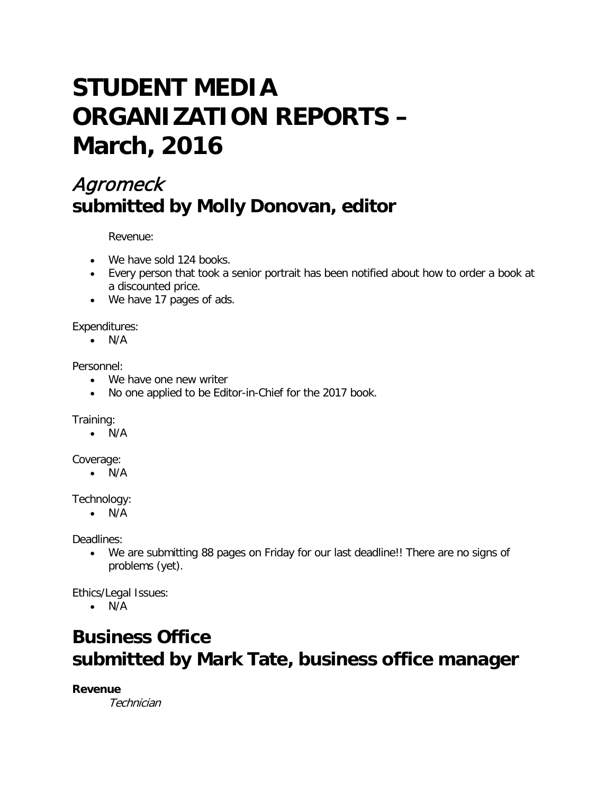# **STUDENT MEDIA ORGANIZATION REPORTS – March, 2016**

# Agromeck **submitted by Molly Donovan, editor**

Revenue:

- We have sold 124 books.
- Every person that took a senior portrait has been notified about how to order a book at a discounted price.
- We have 17 pages of ads.

Expenditures:

• N/A

Personnel:

- We have one new writer
- No one applied to be Editor-in-Chief for the 2017 book.

Training:

• N/A

Coverage:

• N/A

Technology:

• N/A

Deadlines:

• We are submitting 88 pages on Friday for our last deadline!! There are no signs of problems (yet).

Ethics/Legal Issues:

• N/A

# **Business Office submitted by Mark Tate, business office manager**

**Revenue**

**Technician**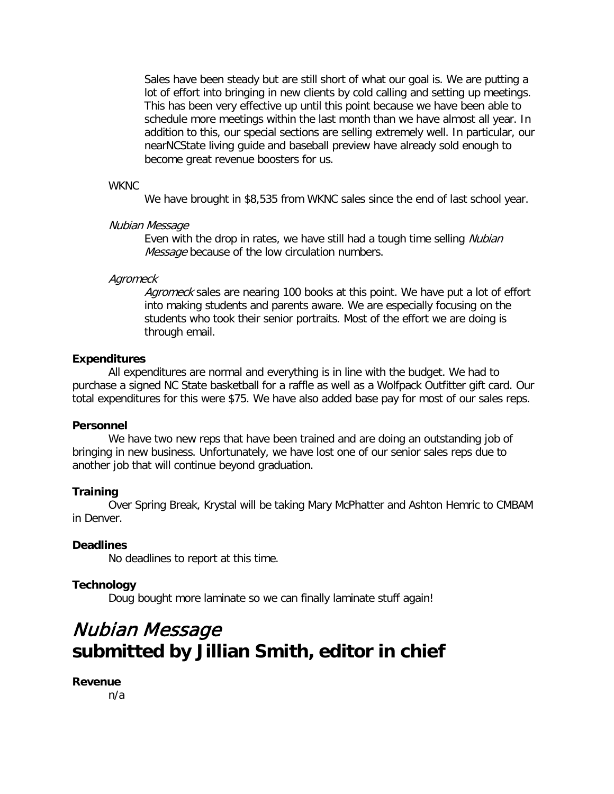Sales have been steady but are still short of what our goal is. We are putting a lot of effort into bringing in new clients by cold calling and setting up meetings. This has been very effective up until this point because we have been able to schedule more meetings within the last month than we have almost all year. In addition to this, our special sections are selling extremely well. In particular, our nearNCState living guide and baseball preview have already sold enough to become great revenue boosters for us.

#### **WKNC**

We have brought in \$8,535 from WKNC sales since the end of last school year.

#### Nubian Message

Even with the drop in rates, we have still had a tough time selling Nubian Message because of the low circulation numbers.

#### **Agromeck**

Agromeck sales are nearing 100 books at this point. We have put a lot of effort into making students and parents aware. We are especially focusing on the students who took their senior portraits. Most of the effort we are doing is through email.

#### **Expenditures**

All expenditures are normal and everything is in line with the budget. We had to purchase a signed NC State basketball for a raffle as well as a Wolfpack Outfitter gift card. Our total expenditures for this were \$75. We have also added base pay for most of our sales reps.

#### **Personnel**

We have two new reps that have been trained and are doing an outstanding job of bringing in new business. Unfortunately, we have lost one of our senior sales reps due to another job that will continue beyond graduation.

# **Training**

Over Spring Break, Krystal will be taking Mary McPhatter and Ashton Hemric to CMBAM in Denver.

# **Deadlines**

No deadlines to report at this time.

# **Technology**

Doug bought more laminate so we can finally laminate stuff again!

# Nubian Message **submitted by Jillian Smith, editor in chief**

#### **Revenue**

n/a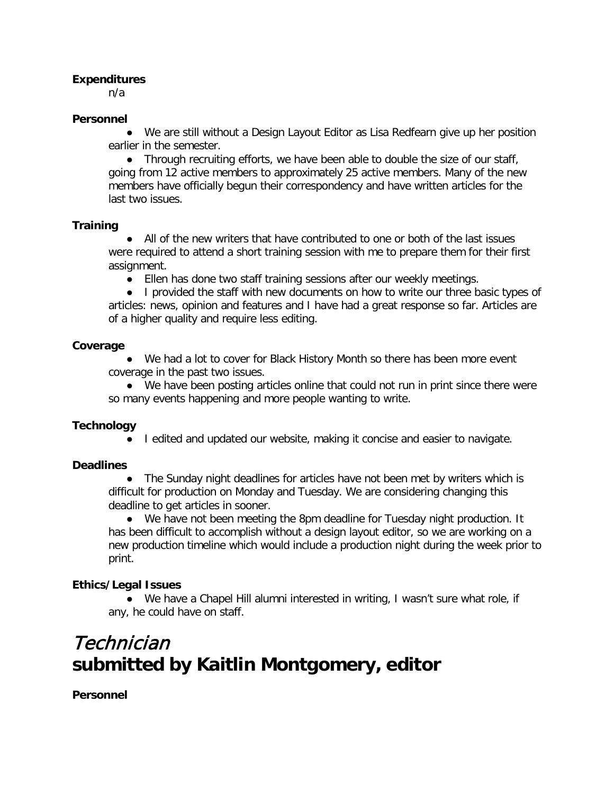# **Expenditures**

n/a

# **Personnel**

● We are still without a Design Layout Editor as Lisa Redfearn give up her position earlier in the semester.

● Through recruiting efforts, we have been able to double the size of our staff, going from 12 active members to approximately 25 active members. Many of the new members have officially begun their correspondency and have written articles for the last two issues.

# **Training**

● All of the new writers that have contributed to one or both of the last issues were required to attend a short training session with me to prepare them for their first assignment.

● Ellen has done two staff training sessions after our weekly meetings.

● I provided the staff with new documents on how to write our three basic types of articles: news, opinion and features and I have had a great response so far. Articles are of a higher quality and require less editing.

# **Coverage**

● We had a lot to cover for Black History Month so there has been more event coverage in the past two issues.

● We have been posting articles online that could not run in print since there were so many events happening and more people wanting to write.

# **Technology**

● I edited and updated our website, making it concise and easier to navigate.

# **Deadlines**

• The Sunday night deadlines for articles have not been met by writers which is difficult for production on Monday and Tuesday. We are considering changing this deadline to get articles in sooner.

● We have not been meeting the 8pm deadline for Tuesday night production. It has been difficult to accomplish without a design layout editor, so we are working on a new production timeline which would include a production night during the week prior to print.

# **Ethics/Legal Issues**

● We have a Chapel Hill alumni interested in writing, I wasn't sure what role, if any, he could have on staff.

# Technician **submitted by Kaitlin Montgomery, editor**

**Personnel**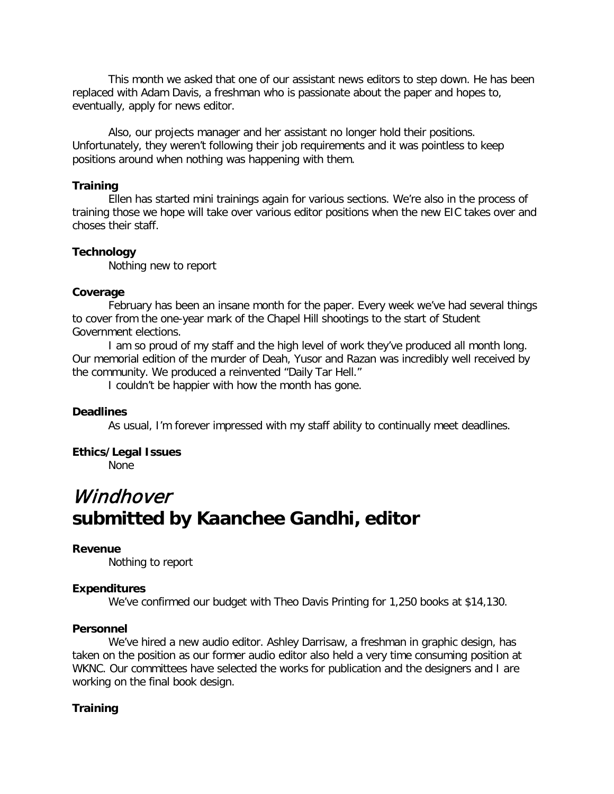This month we asked that one of our assistant news editors to step down. He has been replaced with Adam Davis, a freshman who is passionate about the paper and hopes to, eventually, apply for news editor.

Also, our projects manager and her assistant no longer hold their positions. Unfortunately, they weren't following their job requirements and it was pointless to keep positions around when nothing was happening with them.

#### **Training**

Ellen has started mini trainings again for various sections. We're also in the process of training those we hope will take over various editor positions when the new EIC takes over and choses their staff.

#### **Technology**

Nothing new to report

#### **Coverage**

February has been an insane month for the paper. Every week we've had several things to cover from the one-year mark of the Chapel Hill shootings to the start of Student Government elections.

I am so proud of my staff and the high level of work they've produced all month long. Our memorial edition of the murder of Deah, Yusor and Razan was incredibly well received by the community. We produced a reinvented "Daily Tar Hell."

I couldn't be happier with how the month has gone.

#### **Deadlines**

As usual, I'm forever impressed with my staff ability to continually meet deadlines.

#### **Ethics/Legal Issues**

None

# **Windhover submitted by Kaanchee Gandhi, editor**

#### **Revenue**

Nothing to report

#### **Expenditures**

We've confirmed our budget with Theo Davis Printing for 1,250 books at \$14,130.

#### **Personnel**

We've hired a new audio editor. Ashley Darrisaw, a freshman in graphic design, has taken on the position as our former audio editor also held a very time consuming position at WKNC. Our committees have selected the works for publication and the designers and I are working on the final book design.

#### **Training**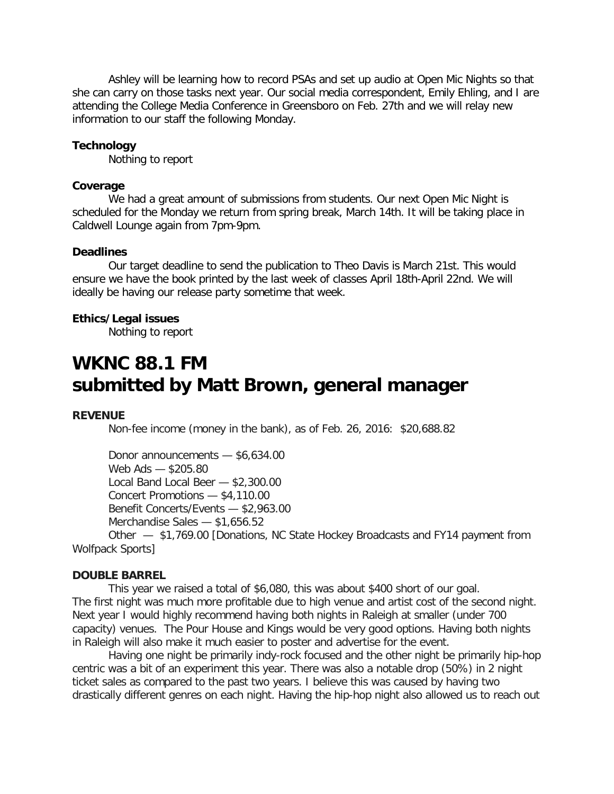Ashley will be learning how to record PSAs and set up audio at Open Mic Nights so that she can carry on those tasks next year. Our social media correspondent, Emily Ehling, and I are attending the College Media Conference in Greensboro on Feb. 27th and we will relay new information to our staff the following Monday.

#### **Technology**

Nothing to report

#### **Coverage**

We had a great amount of submissions from students. Our next Open Mic Night is scheduled for the Monday we return from spring break, March 14th. It will be taking place in Caldwell Lounge again from 7pm-9pm.

#### **Deadlines**

Our target deadline to send the publication to Theo Davis is March 21st. This would ensure we have the book printed by the last week of classes April 18th-April 22nd. We will ideally be having our release party sometime that week.

#### **Ethics/Legal issues**

Nothing to report

# **WKNC 88.1 FM submitted by Matt Brown, general manager**

#### **REVENUE**

Non-fee income (money in the bank), as of Feb. 26, 2016: \$20,688.82

Donor announcements — \$6,634.00 Web Ads — \$205.80 Local Band Local Beer — \$2,300.00 Concert Promotions — \$4,110.00 Benefit Concerts/Events — \$2,963.00 Merchandise Sales — \$1,656.52 Other — \$1,769.00 [Donations, NC State Hockey Broadcasts and FY14 payment from

Wolfpack Sports]

#### **DOUBLE BARREL**

This year we raised a total of \$6,080, this was about \$400 short of our goal. The first night was much more profitable due to high venue and artist cost of the second night. Next year I would highly recommend having both nights in Raleigh at smaller (under 700 capacity) venues. The Pour House and Kings would be very good options. Having both nights in Raleigh will also make it much easier to poster and advertise for the event.

Having one night be primarily indy-rock focused and the other night be primarily hip-hop centric was a bit of an experiment this year. There was also a notable drop (50%) in 2 night ticket sales as compared to the past two years. I believe this was caused by having two drastically different genres on each night. Having the hip-hop night also allowed us to reach out